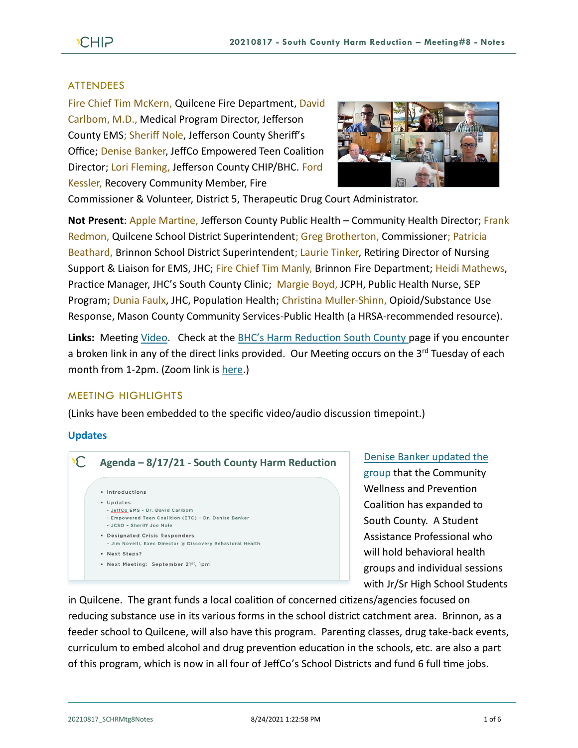## ATTENDEES

Fire Chief Tim McKern, Quilcene Fire Department, David Carlbom, M.D., Medical Program Director, Jefferson County EMS; Sheriff Nole, Jefferson County Sheriff's Office; Denise Banker, JeffCo Empowered Teen Coalition Director; Lori Fleming, Jefferson County CHIP/BHC. Ford Kessler, Recovery Community Member, Fire



Commissioner & Volunteer, District 5, Therapeutic Drug Court Administrator.

**Not Present**: Apple Martine, Jefferson County Public Health – Community Health Director; Frank Redmon, Quilcene School District Superintendent; Greg Brotherton, Commissioner; Patricia Beathard, Brinnon School District Superintendent; Laurie Tinker, Retiring Director of Nursing Support & Liaison for EMS, JHC; Fire Chief Tim Manly, Brinnon Fire Department; Heidi Mathews, Practice Manager, JHC's South County Clinic; Margie Boyd, JCPH, Public Health Nurse, SEP Program; Dunia Faulx, JHC, Population Health; Christina Muller-Shinn, Opioid/Substance Use Response, Mason County Community Services-Public Health (a HRSA-recommended resource).

Links: Meeting [Video.](https://www.youtube.com/watch?v=TybzgHyQWAo) Check at the **BHC's Harm Reduction South County page if you encounter** a broken link in any of the direct links provided. Our Meeting occurs on the 3<sup>rd</sup> Tuesday of each month from 1-2pm. (Zoom link is [here.](https://zoom.us/j/97908186807?pwd=QTFtTTNJRkFnRzJwZ1poK2lvcWxUdz09))

#### MEETING HIGHLIGHTS

(Links have been embedded to the specific video/audio discussion timepoint.)

#### **Updates**



[Denise Banker updated the](https://youtu.be/TybzgHyQWAo?t=239)  [group](https://youtu.be/TybzgHyQWAo?t=239) that the Community Wellness and Prevention Coalition has expanded to South County. A Student Assistance Professional who will hold behavioral health groups and individual sessions with Jr/Sr High School Students

in Quilcene. The grant funds a local coalition of concerned citizens/agencies focused on reducing substance use in its various forms in the school district catchment area. Brinnon, as a feeder school to Quilcene, will also have this program. Parenting classes, drug take-back events, curriculum to embed alcohol and drug prevention education in the schools, etc. are also a part of this program, which is now in all four of JeffCo's School Districts and fund 6 full time jobs.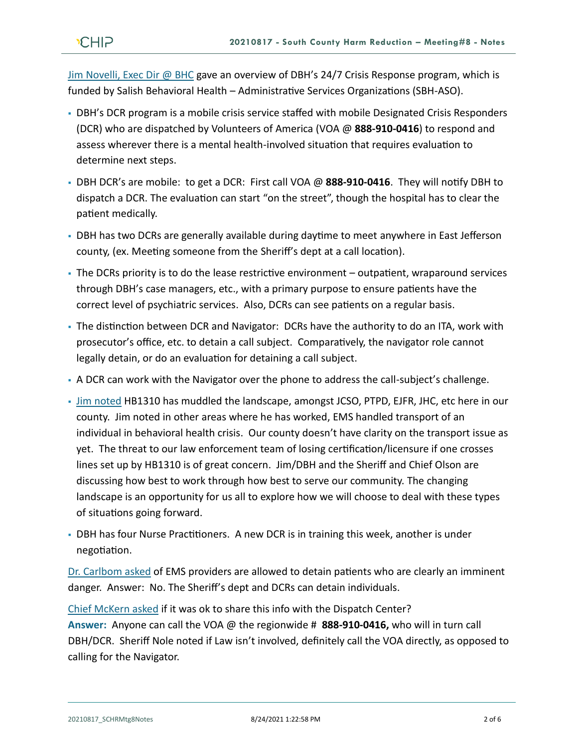Jim [Novelli, Exec Dir @ BHC](https://youtu.be/TybzgHyQWAo?t=249) gave an overview of DBH's 24/7 Crisis Response program, which is funded by Salish Behavioral Health – Administrative Services Organizations (SBH-ASO).

- DBH's DCR program is a mobile crisis service staffed with mobile Designated Crisis Responders (DCR) who are dispatched by Volunteers of America (VOA @ **888-910-0416**) to respond and assess wherever there is a mental health-involved situation that requires evaluation to determine next steps.
- DBH DCR's are mobile: to get a DCR: First call VOA @ **888-910-0416**. They will notify DBH to dispatch a DCR. The evaluation can start "on the street", though the hospital has to clear the patient medically.
- DBH has two DCRs are generally available during daytime to meet anywhere in East Jefferson county, (ex. Meeting someone from the Sheriff's dept at a call location).
- The DCRs priority is to do the lease restrictive environment outpatient, wraparound services through DBH's case managers, etc., with a primary purpose to ensure patients have the correct level of psychiatric services. Also, DCRs can see patients on a regular basis.
- The distinction between DCR and Navigator: DCRs have the authority to do an ITA, work with prosecutor's office, etc. to detain a call subject. Comparatively, the navigator role cannot legally detain, or do an evaluation for detaining a call subject.
- A DCR can work with the Navigator over the phone to address the call-subject's challenge.
- [Jim noted](https://youtu.be/TybzgHyQWAo?t=456) HB1310 has muddled the landscape, amongst JCSO, PTPD, EJFR, JHC, etc here in our county. Jim noted in other areas where he has worked, EMS handled transport of an individual in behavioral health crisis. Our county doesn't have clarity on the transport issue as yet. The threat to our law enforcement team of losing certification/licensure if one crosses lines set up by HB1310 is of great concern. Jim/DBH and the Sheriff and Chief Olson are discussing how best to work through how best to serve our community. The changing landscape is an opportunity for us all to explore how we will choose to deal with these types of situations going forward.
- **DBH has four Nurse Practitioners. A new DCR is in training this week, another is under** negotiation.

[Dr. Carlbom asked](https://youtu.be/TybzgHyQWAo?t=813) of EMS providers are allowed to detain patients who are clearly an imminent danger. Answer: No. The Sheriff's dept and DCRs can detain individuals.

[Chief McKern asked](https://youtu.be/TybzgHyQWAo?t=899) if it was ok to share this info with the Dispatch Center? **Answer:** Anyone can call the VOA @ the regionwide # **888-910-0416,** who will in turn call DBH/DCR. Sheriff Nole noted if Law isn't involved, definitely call the VOA directly, as opposed to calling for the Navigator.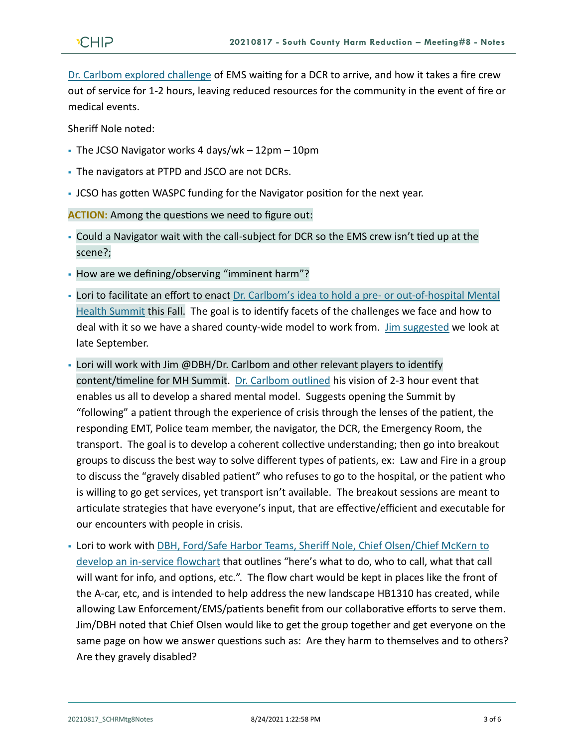[Dr. Carlbom explored challenge](https://youtu.be/TybzgHyQWAo?t=1045) of EMS waiting for a DCR to arrive, and how it takes a fire crew out of service for 1-2 hours, leaving reduced resources for the community in the event of fire or medical events.

Sheriff Nole noted:

- $\overline{\phantom{a}}$  The JCSO Navigator works 4 days/wk 12pm 10pm
- The navigators at PTPD and JSCO are not DCRs.
- JCSO has gotten WASPC funding for the Navigator position for the next year.

**ACTION:** Among the questions we need to figure out:

- Could a Navigator wait with the call-subject for DCR so the EMS crew isn't tied up at the scene?;
- How are we defining/observing "imminent harm"?
- **· Lori to facilitate an effort to enact [Dr. Carlbom's idea to hold a pre-](https://youtu.be/TybzgHyQWAo?t=1604) or out-of-hospital Mental** [Health Summit](https://youtu.be/TybzgHyQWAo?t=1604) this Fall. The goal is to identify facets of the challenges we face and how to deal with it so we have a shared county-wide model to work from. [Jim suggested](https://youtu.be/TybzgHyQWAo?t=2654) we look at late September.
- Lori will work with Jim @DBH/Dr. Carlbom and other relevant players to identify content/timeline for MH Summit. [Dr. Carlbom outlined](https://youtu.be/TybzgHyQWAo?t=2712) his vision of 2-3 hour event that enables us all to develop a shared mental model. Suggests opening the Summit by "following" a patient through the experience of crisis through the lenses of the patient, the responding EMT, Police team member, the navigator, the DCR, the Emergency Room, the transport. The goal is to develop a coherent collective understanding; then go into breakout groups to discuss the best way to solve different types of patients, ex: Law and Fire in a group to discuss the "gravely disabled patient" who refuses to go to the hospital, or the patient who is willing to go get services, yet transport isn't available. The breakout sessions are meant to articulate strategies that have everyone's input, that are effective/efficient and executable for our encounters with people in crisis.
- **. Lori to work with [DBH, Ford/Safe Harbor Teams, Sheriff Nole, Chief Olsen/Chief McKern](https://youtu.be/TybzgHyQWAo?t=1662) to** [develop an in-service](https://youtu.be/TybzgHyQWAo?t=1662) flowchart that outlines "here's what to do, who to call, what that call will want for info, and options, etc.". The flow chart would be kept in places like the front of the A-car, etc, and is intended to help address the new landscape HB1310 has created, while allowing Law Enforcement/EMS/patients benefit from our collaborative efforts to serve them. Jim/DBH noted that Chief Olsen would like to get the group together and get everyone on the same page on how we answer questions such as: Are they harm to themselves and to others? Are they gravely disabled?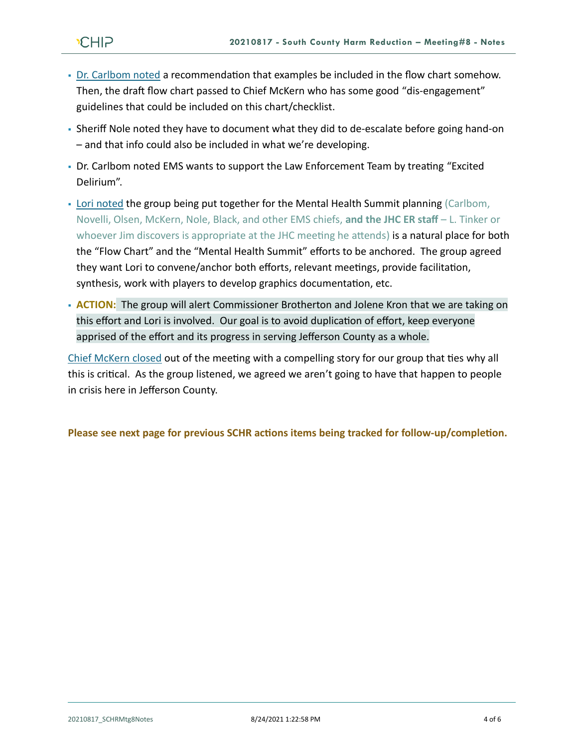- [Dr. Carlbom noted](https://youtu.be/TybzgHyQWAo?t=2023) a recommendation that examples be included in the flow chart somehow. Then, the draft flow chart passed to Chief McKern who has some good "dis-engagement" guidelines that could be included on this chart/checklist.
- Sheriff Nole noted they have to document what they did to de-escalate before going hand-on – and that info could also be included in what we're developing.
- Dr. Carlbom noted EMS wants to support the Law Enforcement Team by treating "Excited Delirium".
- [Lori noted](https://youtu.be/TybzgHyQWAo?t=2266) the group being put together for the Mental Health Summit planning (Carlbom, Novelli, Olsen, McKern, Nole, Black, and other EMS chiefs, **and the JHC ER staff** – L. Tinker or whoever Jim discovers is appropriate at the JHC meeting he attends) is a natural place for both the "Flow Chart" and the "Mental Health Summit" efforts to be anchored. The group agreed they want Lori to convene/anchor both efforts, relevant meetings, provide facilitation, synthesis, work with players to develop graphics documentation, etc.
- **ACTION:** The group will alert Commissioner Brotherton and Jolene Kron that we are taking on this effort and Lori is involved. Our goal is to avoid duplication of effort, keep everyone apprised of the effort and its progress in serving Jefferson County as a whole.

[Chief McKern closed](https://youtu.be/TybzgHyQWAo?t=2862) out of the meeting with a compelling story for our group that ties why all this is critical. As the group listened, we agreed we aren't going to have that happen to people in crisis here in Jefferson County.

**Please see next page for previous SCHR actions items being tracked for follow-up/completion.**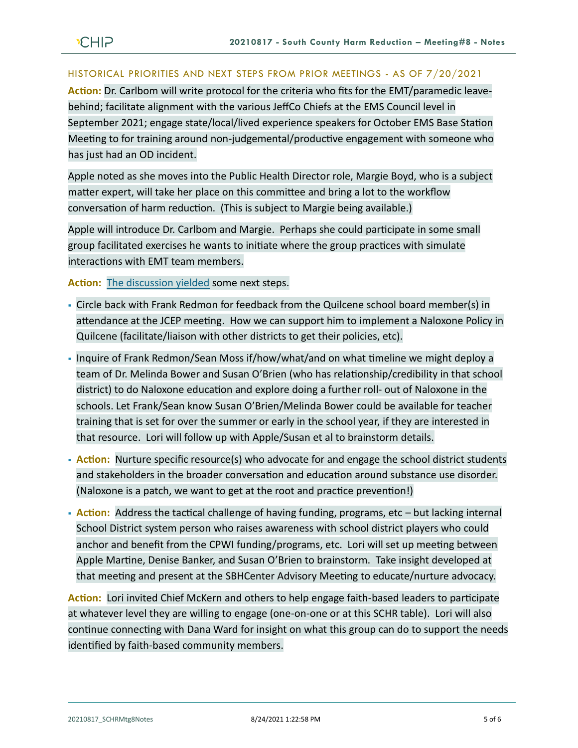# HISTORICAL PRIORITIES AND NEXT STEPS FROM PRIOR MEETINGS - AS OF 7/20/2021

**Action:** Dr. Carlbom will write protocol for the criteria who fits for the EMT/paramedic leavebehind; facilitate alignment with the various JeffCo Chiefs at the EMS Council level in September 2021; engage state/local/lived experience speakers for October EMS Base Station Meeting to for training around non-judgemental/productive engagement with someone who has just had an OD incident.

Apple noted as she moves into the Public Health Director role, Margie Boyd, who is a subject matter expert, will take her place on this committee and bring a lot to the workflow conversation of harm reduction. (This is subject to Margie being available.)

Apple will introduce Dr. Carlbom and Margie. Perhaps she could participate in some small group facilitated exercises he wants to initiate where the group practices with simulate interactions with EMT team members.

**Action:** [The discussion yielded](https://youtu.be/MqNLm0JWMQg?t=561) some next steps.

- Circle back with Frank Redmon for feedback from the Quilcene school board member(s) in attendance at the JCEP meeting. How we can support him to implement a Naloxone Policy in Quilcene (facilitate/liaison with other districts to get their policies, etc).
- Inquire of Frank Redmon/Sean Moss if/how/what/and on what timeline we might deploy a team of Dr. Melinda Bower and Susan O'Brien (who has relationship/credibility in that school district) to do Naloxone education and explore doing a further roll- out of Naloxone in the schools. Let Frank/Sean know Susan O'Brien/Melinda Bower could be available for teacher training that is set for over the summer or early in the school year, if they are interested in that resource. Lori will follow up with Apple/Susan et al to brainstorm details.
- **Action:** Nurture specific resource(s) who advocate for and engage the school district students and stakeholders in the broader conversation and education around substance use disorder. (Naloxone is a patch, we want to get at the root and practice prevention!)
- **Action:** Address the tactical challenge of having funding, programs, etc but lacking internal School District system person who raises awareness with school district players who could anchor and benefit from the CPWI funding/programs, etc. Lori will set up meeting between Apple Martine, Denise Banker, and Susan O'Brien to brainstorm. Take insight developed at that meeting and present at the SBHCenter Advisory Meeting to educate/nurture advocacy.

**Action:** Lori invited Chief McKern and others to help engage faith-based leaders to participate at whatever level they are willing to engage (one-on-one or at this SCHR table). Lori will also continue connecting with Dana Ward for insight on what this group can do to support the needs identified by faith-based community members.